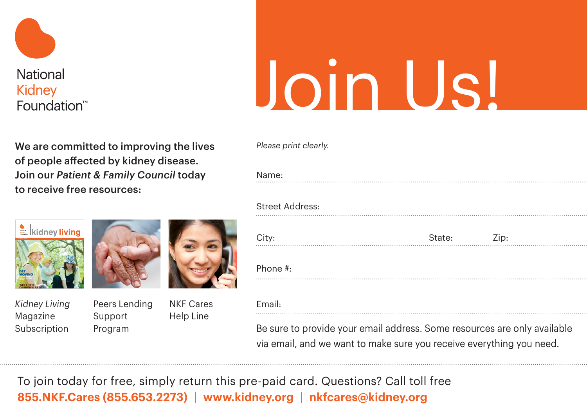

## Foundation<sup>™</sup>

We are committed to improving the lives of people affected by kidney disease. Join our *Patient & Family Council* today to receive free resources:



*Kidney Living* Magazine Subscription



Peers Lending Support Program NKF Cares Help Line

| <b>Join Us!</b> |  |
|-----------------|--|
|                 |  |

*Please print clearly.*

| Name: |  |  |
|-------|--|--|
|       |  |  |
|       |  |  |
|       |  |  |
|       |  |  |
|       |  |  |

## Street Address:

| City:    | State: | Zip: |
|----------|--------|------|
| Phone #: |        |      |
| Email:   |        |      |

Be sure to provide your email address. Some resources are only available via email, and we want to make sure you receive everything you need.

To join today for free, simply return this pre-paid card. Questions? Call toll free **855.NKF.Cares (855.653.2273)** | **www.kidney.org** | **nkfcares@kidney.org**